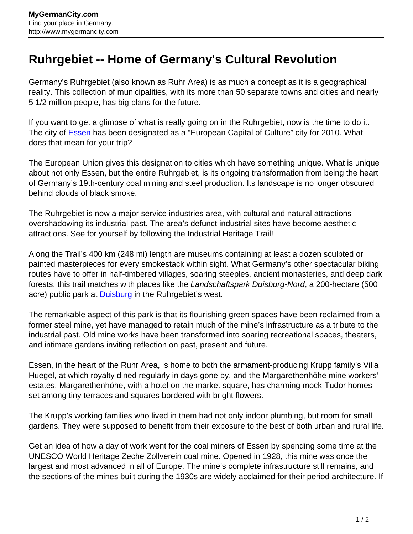## **Ruhrgebiet -- Home of Germany's Cultural Revolution**

Germany's Ruhrgebiet (also known as Ruhr Area) is as much a concept as it is a geographical reality. This collection of municipalities, with its more than 50 separate towns and cities and nearly 5 1/2 million people, has big plans for the future.

If you want to get a glimpse of what is really going on in the Ruhrgebiet, now is the time to do it. The city of **Essen** has been designated as a "European Capital of Culture" city for 2010. What does that mean for your trip?

The European Union gives this designation to cities which have something unique. What is unique about not only Essen, but the entire Ruhrgebiet, is its ongoing transformation from being the heart of Germany's 19th-century coal mining and steel production. Its landscape is no longer obscured behind clouds of black smoke.

The Ruhrgebiet is now a major service industries area, with cultural and natural attractions overshadowing its industrial past. The area's defunct industrial sites have become aesthetic attractions. See for yourself by following the Industrial Heritage Trail!

Along the Trail's 400 km (248 mi) length are museums containing at least a dozen sculpted or painted masterpieces for every smokestack within sight. What Germany's other spectacular biking routes have to offer in half-timbered villages, soaring steeples, ancient monasteries, and deep dark forests, this trail matches with places like the Landschaftspark Duisburg-Nord, a 200-hectare (500 acre) public park at **Duisburg** in the Ruhrgebiet's west.

The remarkable aspect of this park is that its flourishing green spaces have been reclaimed from a former steel mine, yet have managed to retain much of the mine's infrastructure as a tribute to the industrial past. Old mine works have been transformed into soaring recreational spaces, theaters, and intimate gardens inviting reflection on past, present and future.

Essen, in the heart of the Ruhr Area, is home to both the armament-producing Krupp family's Villa Huegel, at which royalty dined regularly in days gone by, and the Margarethenhöhe mine workers' estates. Margarethenhöhe, with a hotel on the market square, has charming mock-Tudor homes set among tiny terraces and squares bordered with bright flowers.

The Krupp's working families who lived in them had not only indoor plumbing, but room for small gardens. They were supposed to benefit from their exposure to the best of both urban and rural life.

Get an idea of how a day of work went for the coal miners of Essen by spending some time at the UNESCO World Heritage Zeche Zollverein coal mine. Opened in 1928, this mine was once the largest and most advanced in all of Europe. The mine's complete infrastructure still remains, and the sections of the mines built during the 1930s are widely acclaimed for their period architecture. If